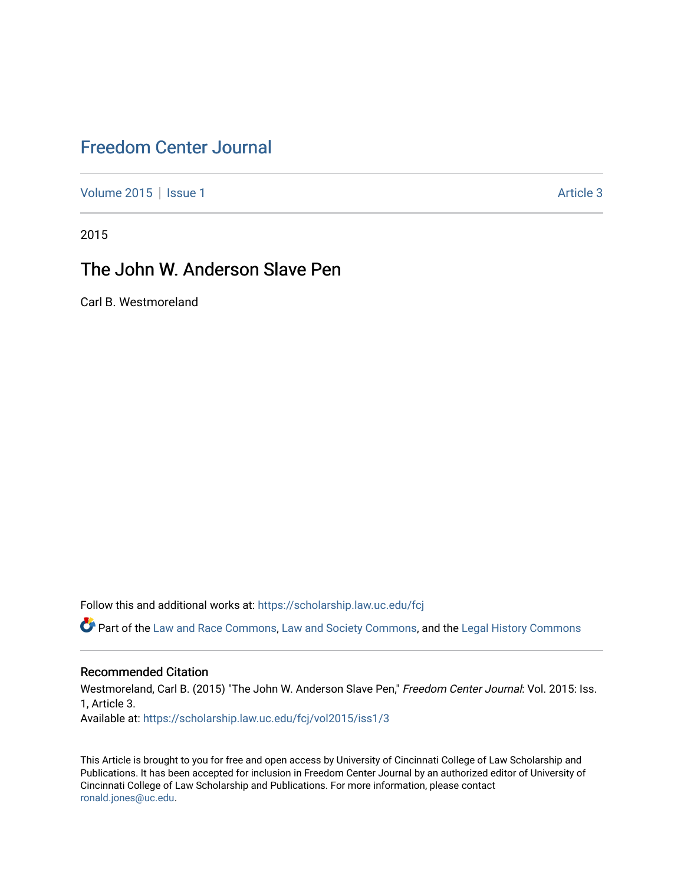# [Freedom Center Journal](https://scholarship.law.uc.edu/fcj)

[Volume 2015](https://scholarship.law.uc.edu/fcj/vol2015) | [Issue 1](https://scholarship.law.uc.edu/fcj/vol2015/iss1) Article 3

2015

# The John W. Anderson Slave Pen

Carl B. Westmoreland

Follow this and additional works at: [https://scholarship.law.uc.edu/fcj](https://scholarship.law.uc.edu/fcj?utm_source=scholarship.law.uc.edu%2Ffcj%2Fvol2015%2Fiss1%2F3&utm_medium=PDF&utm_campaign=PDFCoverPages) 

Part of the [Law and Race Commons,](https://network.bepress.com/hgg/discipline/1300?utm_source=scholarship.law.uc.edu%2Ffcj%2Fvol2015%2Fiss1%2F3&utm_medium=PDF&utm_campaign=PDFCoverPages) [Law and Society Commons](https://network.bepress.com/hgg/discipline/853?utm_source=scholarship.law.uc.edu%2Ffcj%2Fvol2015%2Fiss1%2F3&utm_medium=PDF&utm_campaign=PDFCoverPages), and the [Legal History Commons](https://network.bepress.com/hgg/discipline/904?utm_source=scholarship.law.uc.edu%2Ffcj%2Fvol2015%2Fiss1%2F3&utm_medium=PDF&utm_campaign=PDFCoverPages)

### Recommended Citation

Westmoreland, Carl B. (2015) "The John W. Anderson Slave Pen," Freedom Center Journal: Vol. 2015: Iss. 1, Article 3. Available at: [https://scholarship.law.uc.edu/fcj/vol2015/iss1/3](https://scholarship.law.uc.edu/fcj/vol2015/iss1/3?utm_source=scholarship.law.uc.edu%2Ffcj%2Fvol2015%2Fiss1%2F3&utm_medium=PDF&utm_campaign=PDFCoverPages) 

This Article is brought to you for free and open access by University of Cincinnati College of Law Scholarship and Publications. It has been accepted for inclusion in Freedom Center Journal by an authorized editor of University of Cincinnati College of Law Scholarship and Publications. For more information, please contact [ronald.jones@uc.edu](mailto:ronald.jones@uc.edu).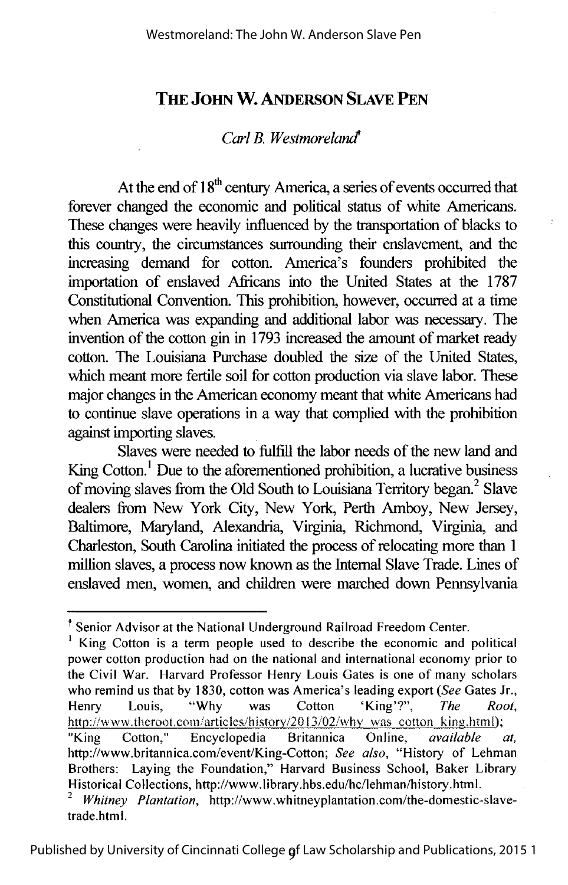### **THE JOHN W. ANDERSON SLAVE PEN**

#### *Carl* B. *Westmoreland*

At the end of  $18<sup>th</sup>$  century America, a series of events occurred that forever changed the economic and political status of white Americans. These changes were heavily influenced by the transportation of blacks to this country, the circumstances surrounding their enslavement, and the increasing demand for cotton. America's founders prohibited the importation of enslaved Africans into the United States at the 1787 Constitutional Convention. This prohibition, however, occurred at a time when America was expanding and additional labor was necessary. The invention of the cotton gin in 1793 increased the amount of market ready cotton. The Louisiana Purchase doubled the size of the United States, which meant more fertile soil for cotton production via slave labor. These major changes in the American economy meant that white Americans had to continue slave operations in a way that complied with the prohibition against importing slaves.

÷

Slaves were needed to fulfill the labor needs of the new land and King Cotton.<sup>1</sup> Due to the aforementioned prohibition, a lucrative business of moving slaves from the Old South to Louisiana Territory began.<sup>2</sup> Slave dealers from New York City, New York, Perth Amboy, New Jersey, Baltimore, Maryland, Alexandria, Virginia, Richmond, Virginia, and Charleston, South Carolina initiated the process of relocating more than **1**  million slaves, a process now known as the Internal Slave Trade. Lines of enslaved men, women, and children were marched down Pennsylvania

<sup>†</sup> Senior Advisor at the National Underground Railroad Freedom Center.<br><sup>1</sup> King Cotton is a term people used to describe the economic and political power cotton production had on the national and international economy prior to the Civil War. Harvard Professor Henry Louis Gates is one of many scholars who remind us that by 1830, cotton was America's leading export *(See* Gates Jr., Henry Louis, "Why was Cotton 'King'?", *The Root,*  http://www.theroot.com/articles/history/2013/02/why was cotton king.html); "King Cotton," Encyclopedia Britannica Online, *available at,*  http://www.britannica.com/event/King-Cotton; *See also,* "History of Lehman Brothers: Laying the Foundation," Harvard Business School, Baker Library<br>Historical Collections, http://www.library.hbs.edu/hc/lehman/history.html.  $Whitney$  Plantation, http://www.whitneyplantation.com/the-domestic-slave-

trade.html.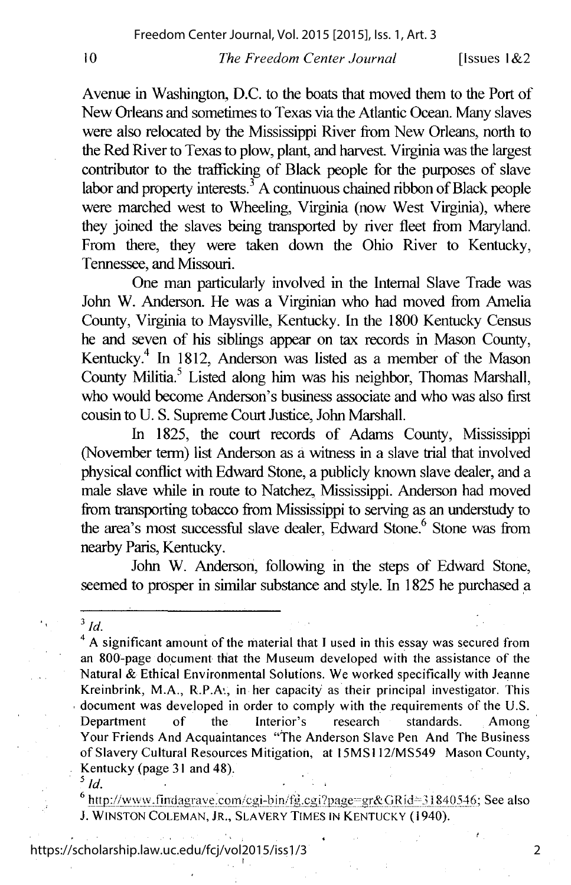Avenue in Washington, D.C. to the boats that moved them to the Port of New Orleans and sometimes to Texas via the Atlantic Ocean. Many slaves were also relocated by the Mississippi River from New Orleans, north to the Red River to Texas to plow, plant, and harvest Virginia was the largest contributor to the trafficking of Black people for the purposes of slave labor and property interests.<sup>3</sup> A continuous chained ribbon of Black people were marched west to Wheeling, Virginia (now West Virginia), where they ioined the slaves being transported by river fleet from Maryland. From there, they were taken down the Ohio River to Kentucky, Tennessee, and Missouri.

One man particularly involved in the Internal Slave Trade was John W. Anderson. He was a Virginian who had moved from Amelia County, Virginia to Maysville, Kentucky. In the 1800 Kentucky Census he and seven of his siblings appear on tax records in Mason County, Kentucky.<sup>4</sup> In 1812, Anderson was listed as a member of the Mason County Militia.5 Listed along him was his neighbor, Thomas Marshall, who would become Anderson's business associate and who was also first cousin to U. S. Supreme Court Justice, John Marshall.

In 1825, the court records of Adams County, Mississippi (November term) list Anderson as a witness in a slave trial that involved physical conflict with Edward Stone, a publicly known slave dealer, and a male slave while in route to Natchez. Mississippi. Anderson had moved from transporting tobacco from Mississippi to serving as an tmderstudy to the area's most successful slave dealer. Edward Stone.<sup>6</sup> Stone was from nearby Paris, Kentucky.

John W. Anderson, following in the steps of Edward Stone, seemed to prosper in similar substance and style. In 1825 he purchased a

<sup>6</sup> http://www.findagrave.com/cgi-bin/fg.cgi?page=gr&GRid=31840546; See also J. WINSTON COLEMAN, JR., SLAVERY TIMES IN KENTUCKY ( 1940).

#### https://scholarship.law.uc.edu/fcj/vol2015/iss1/3

2

<sup>3</sup>*Id.* 

 $4$  A significant amount of the material that I used in this essay was secured from an 800-page document that the Museum developed with the assistance of the Natural & Ethical Environmental Solutions. We worked specifically with Jeanne Kreinbrink, M.A., R.P.k, in her capacity as their principal investigator. This document was developed in order to comply with the requirements of the U.S. Department of the Interior's research standards. Among Your Friends And Acquaintances "The Anderson Slave Pen And The Business of Slavery Cultural Resources Mitigation, at 15MSI 12/MS549 Mason County, Kentucky (page 31 and 48).<br> $\frac{5 \text{ Id}}{1}$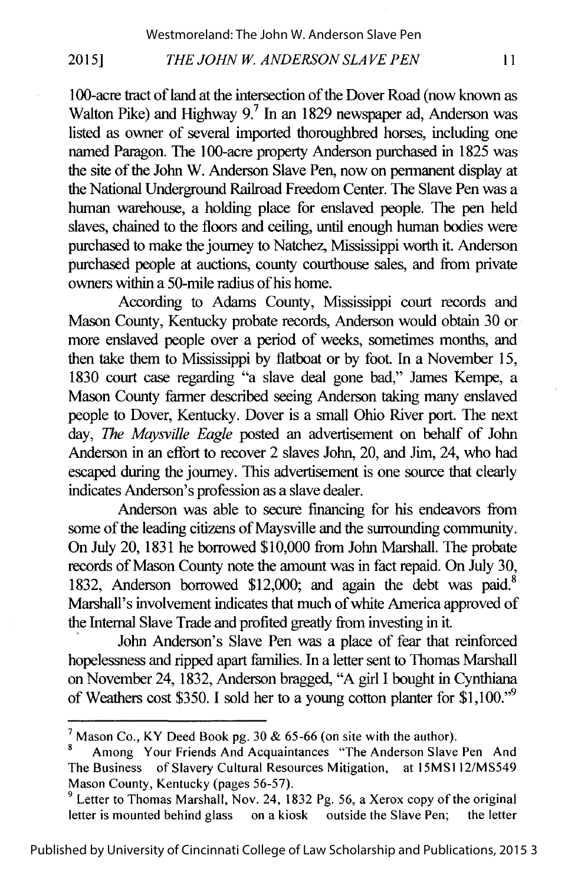100-acre tract of land at the intersection of the Dover Road (now known as Walton Pike) and Highway  $9<sup>7</sup>$  In an 1829 newspaper ad, Anderson was listed as owner of several imported thoroughbred horses, including one named Paragon. The 100-acre property Anderson purchased in 1825 was the site of the John W. Anderson Slave Pen, now on permanent display at the National Underground Railroad Freedom Center. The Slave Pen was a human warehouse, a holding place for enslaved people. The pen held slaves, chained to the floors and ceiling, until enough human bodies were purchased to make the journey to Natchez, Mississippi worth it. Anderson purchased people at auctions, county courthouse sales, and from private owners within a 50-mile radius ofhis home.

According to Adams County, Mississippi court records and Mason County, Kentucky probate records, Anderson would obtain 30 or more enslaved people over a period of weeks, sometimes months, and then take them to Mississippi by flatboat or by foot. In a November 15, 1830 court case regarding "a slave deal gone bad," James Kempe, a Mason County farmer described seeing Anderson taking many enslaved people to Dover, Kentucky. Dover is a small Ohio River port. The next day, *The Maysville Eagle* posted an advertisement on behalf of John Anderson in an effort to recover 2 slaves John, 20, and Jim, 24, who had escaped during the journey. This advertisement is one source that clearly indicates Anderson's profession as a slave dealer.

Anderson was able to secure financing for his endeavors from some of the leading citizens of Maysville and the surrounding community. On July 20, 1831 he borrowed \$10,000 from John Marshall. The probate records of Mason County note the amount was in fact repaid. On July 30, 1832, Anderson borrowed \$12,000; and again the debt was paid.<sup>8</sup> Marshall's involvement indicates that much of white America approved of the Internal Slave Trade and profited greatly from investing in it

John Anderson's Slave Pen was a place of fear that reinforced hopelessness and ripped apart families. In a letter sent to Thomas Marshall on November 24, 1832, Anderson bragged, "A girl I bought in Cynthiana of Weathers cost \$350. I sold her to a young cotton planter for \$1,100."9

<sup>&</sup>lt;sup>7</sup> Mason Co., KY Deed Book pg. 30 & 65-66 (on site with the author).<br><sup>8</sup> Among Your Friends And Acquaintances "The Anderson Slave Pen And

The Business of Slavery Cultural Resources Mitigation, at 15MS112/MS549 Mason County, Kentucky (pages 56-57).<br><sup>9</sup> Letter to Thomas Marshall, Nov. 24, 1832 Pg. 56, a Xerox copy of the original

letter is mounted behind glass on a kiosk outside the Slave Pen; the letter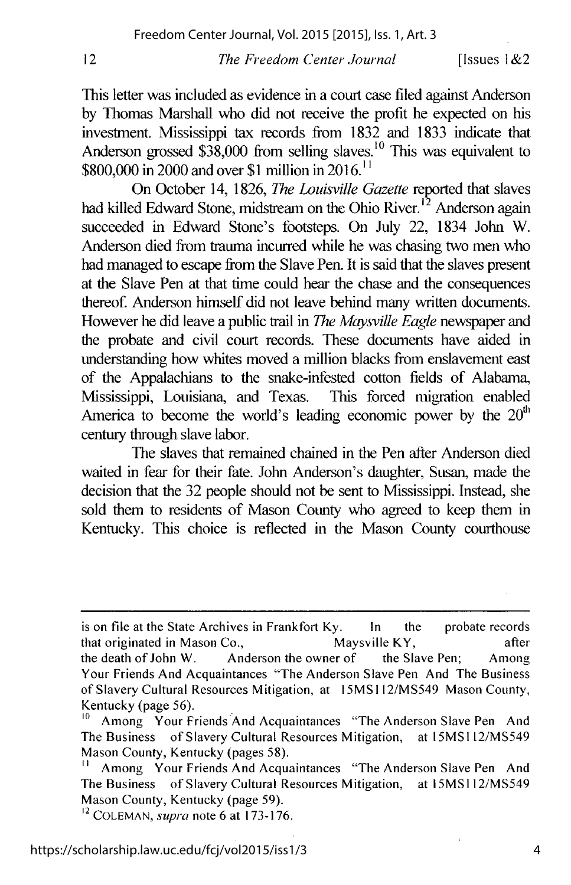This letter was included as evidence in a court case filed against Anderson by Thomas Marshall who did not receive the profit he expected on his investment. Mississippi tax records from 1832 and 1833 indicate that Anderson grossed  $$38,000$  from selling slaves.<sup>10</sup> This was equivalent to \$800,000 in 2000 and over \$1 million in 2016.<sup>11</sup>

On October 14, 1826, *The Louisville Gazette* reported that slaves had killed Edward Stone, midstream on the Ohio River.<sup>12</sup> Anderson again succeeded in Edward Stone's footsteps. On July 22, 1834 John W. Anderson died from trauma incurred while he was chasing two men who had managed to escape from the Slave Pen. It is said that the slaves present at the Slave Pen at that time could hear the chase and the consequences thereof. Anderson himself did not leave behind many written documents. However he did leave a public trail in *The Maysville Eagle* newspaper and the probate and civil court records. These documents have aided in understanding how whites moved a million blacks from enslavement east of the Appalachians to the snake-infested cotton fields of Alabama, Mississippi, Louisiana, and Texas. This forced migration enabled America to become the world's leading economic power by the  $20<sup>th</sup>$ century through slave labor.

The slaves that remained chained in the Pen after Anderson died waited in fear for their fate. Jolm Anderson's daughter, Susan, made the decision that the 32 people should not be sent to Mississippi. Instead, she sold them to residents of Mason County who agreed to keep them in Kentucky. This choice is reflected in the Mason County courthouse

<sup>12</sup>COLEMAN, *supra* note 6 at 173-176.

4

is on file at the State Archives in Frankfort Ky. In the probate records that originated in Mason Co., Maysville KY, after the death of John W. Anderson the owner of the Slave Pen; Among Your Friends And Acquaintances "The Anderson Slave Pen And The Business of Slavery Cultural Resources Mitigation, at 15MSI 12/MS549 Mason County, Kentucky (page 56).

Among Your Friends And Acquaintances "The Anderson Slave Pen And The Business of Slavery Cultural Resources Mitigation, at 15MSI l2/MS549 Mason County, Kentucky (pages 58).

<sup>&</sup>lt;sup>11</sup> Among Your Friends And Acquaintances "The Anderson Slave Pen And The Business of Slavery Cultural Resources Mitigation, at ISMS! 12/MS549 Mason County, Kentucky (page 59).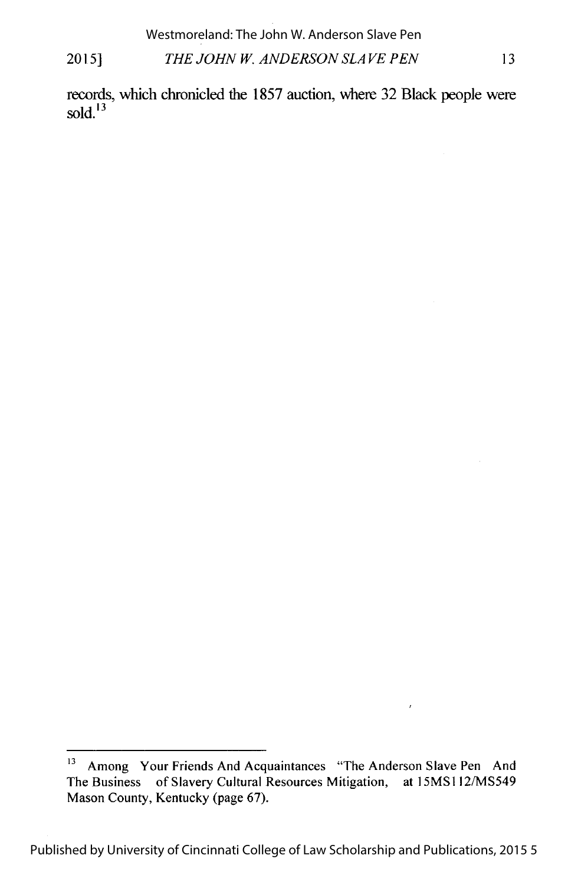## 2015] *THE JOHN* W. *ANDERSON SLAVE PEN* 13 Westmoreland: The John W. Anderson Slave Pen

records, which chronicled the 1857 auction, where 32 Black people were sold $^{13}$ 

<sup>&</sup>lt;sup>13</sup> Among Your Friends And Acquaintances "The Anderson Slave Pen And The Business of Slavery Cultural Resources Mitigation, at 15MS112/MS549 Mason County, Kentucky (page 67).